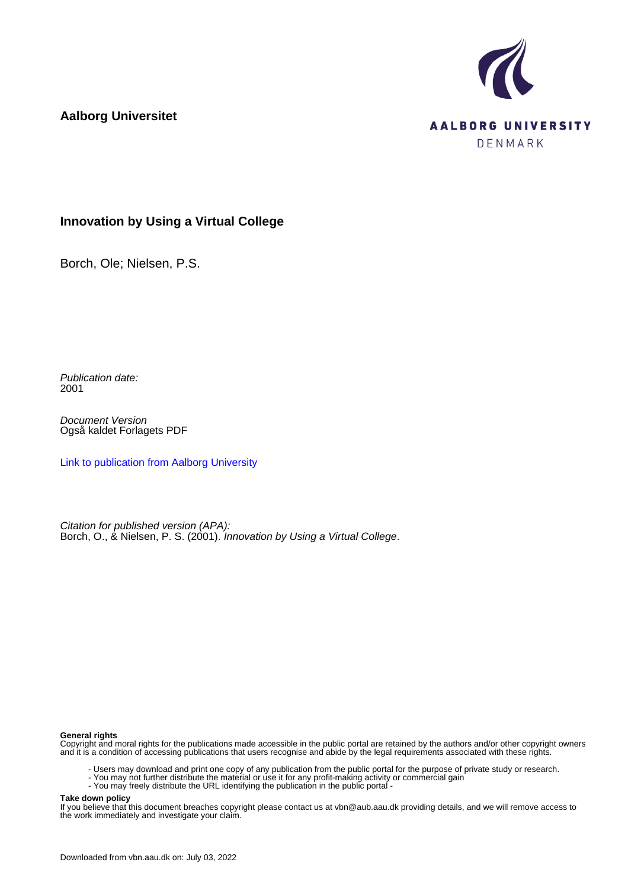**Aalborg Universitet**



## **Innovation by Using a Virtual College**

Borch, Ole; Nielsen, P.S.

Publication date: 2001

Document Version Også kaldet Forlagets PDF

[Link to publication from Aalborg University](https://vbn.aau.dk/da/publications/326eb8a0-9c2d-11db-8ed6-000ea68e967b)

Citation for published version (APA): Borch, O., & Nielsen, P. S. (2001). *Innovation by Using a Virtual College.* 

#### **General rights**

Copyright and moral rights for the publications made accessible in the public portal are retained by the authors and/or other copyright owners and it is a condition of accessing publications that users recognise and abide by the legal requirements associated with these rights.

- Users may download and print one copy of any publication from the public portal for the purpose of private study or research.
- You may not further distribute the material or use it for any profit-making activity or commercial gain
- You may freely distribute the URL identifying the publication in the public portal -

#### **Take down policy**

If you believe that this document breaches copyright please contact us at vbn@aub.aau.dk providing details, and we will remove access to the work immediately and investigate your claim.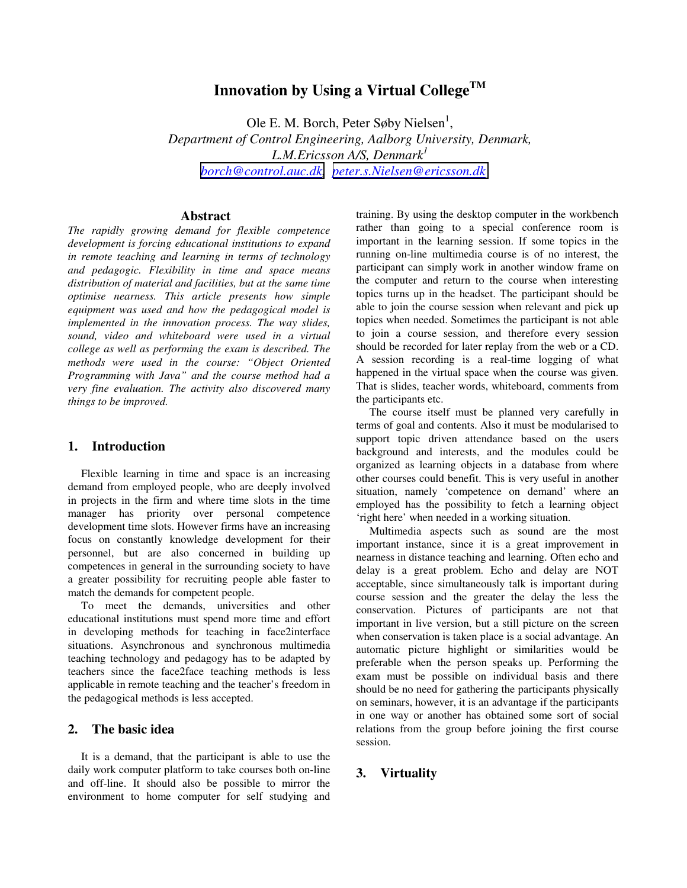# Innovation by Using a Virtual College<sup>TM</sup>

Ole E. M. Borch, Peter Søby Nielsen<sup>1</sup>, *Department of Control Engineering, Aalborg University, Denmark, L.M.Ericsson A/S, Denmark1 [borch@control.auc.dk,](mailto:borch@control.auc.dk) [peter.s.Nielsen@ericsson.dk](mailto:peter.s.Nielsen@ericsson.dk)*

#### **Abstract**

*The rapidly growing demand for flexible competence development is forcing educational institutions to expand in remote teaching and learning in terms of technology and pedagogic. Flexibility in time and space means distribution of material and facilities, but at the same time optimise nearness. This article presents how simple equipment was used and how the pedagogical model is implemented in the innovation process. The way slides, sound, video and whiteboard were used in a virtual college as well as performing the exam is described. The methods were used in the course: "Object Oriented Programming with Java" and the course method had a very fine evaluation. The activity also discovered many things to be improved.* 

#### **1. Introduction**

Flexible learning in time and space is an increasing demand from employed people, who are deeply involved in projects in the firm and where time slots in the time manager has priority over personal competence development time slots. However firms have an increasing focus on constantly knowledge development for their personnel, but are also concerned in building up competences in general in the surrounding society to have a greater possibility for recruiting people able faster to match the demands for competent people.

To meet the demands, universities and other educational institutions must spend more time and effort in developing methods for teaching in face2interface situations. Asynchronous and synchronous multimedia teaching technology and pedagogy has to be adapted by teachers since the face2face teaching methods is less applicable in remote teaching and the teacher's freedom in the pedagogical methods is less accepted.

#### **2. The basic idea**

It is a demand, that the participant is able to use the daily work computer platform to take courses both on-line and off-line. It should also be possible to mirror the environment to home computer for self studying and

training. By using the desktop computer in the workbench rather than going to a special conference room is important in the learning session. If some topics in the running on-line multimedia course is of no interest, the participant can simply work in another window frame on the computer and return to the course when interesting topics turns up in the headset. The participant should be able to join the course session when relevant and pick up topics when needed. Sometimes the participant is not able to join a course session, and therefore every session should be recorded for later replay from the web or a CD. A session recording is a real-time logging of what happened in the virtual space when the course was given. That is slides, teacher words, whiteboard, comments from the participants etc.

The course itself must be planned very carefully in terms of goal and contents. Also it must be modularised to support topic driven attendance based on the users background and interests, and the modules could be organized as learning objects in a database from where other courses could benefit. This is very useful in another situation, namely 'competence on demand' where an employed has the possibility to fetch a learning object 'right here' when needed in a working situation.

Multimedia aspects such as sound are the most important instance, since it is a great improvement in nearness in distance teaching and learning. Often echo and delay is a great problem. Echo and delay are NOT acceptable, since simultaneously talk is important during course session and the greater the delay the less the conservation. Pictures of participants are not that important in live version, but a still picture on the screen when conservation is taken place is a social advantage. An automatic picture highlight or similarities would be preferable when the person speaks up. Performing the exam must be possible on individual basis and there should be no need for gathering the participants physically on seminars, however, it is an advantage if the participants in one way or another has obtained some sort of social relations from the group before joining the first course session.

## **3. Virtuality**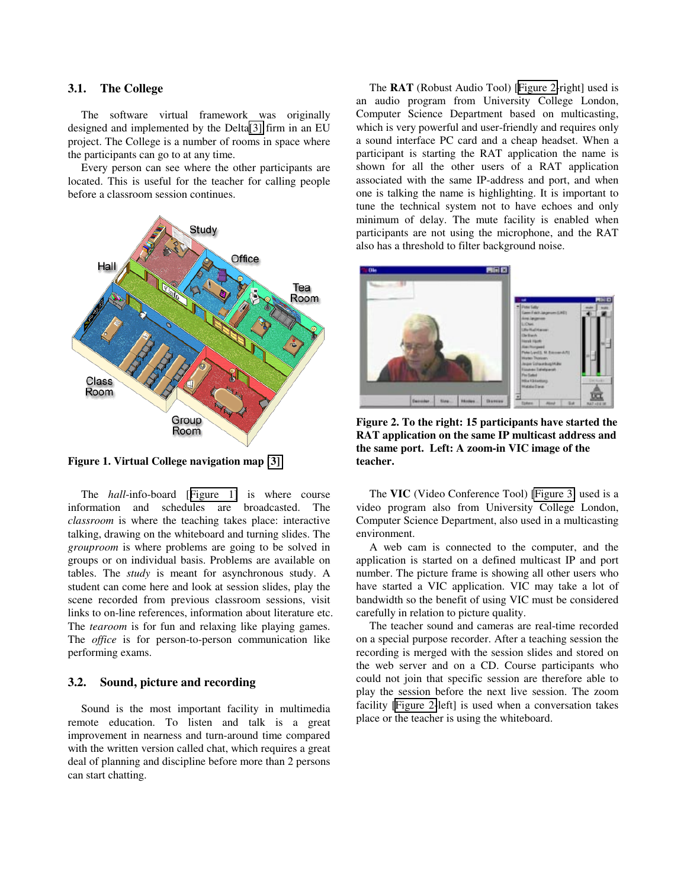#### **3.1. The College**

The software virtual framework was originally designed and implemented by the Delta[\[3\]](#page-5-0) firm in an EU project. The College is a number of rooms in space where the participants can go to at any time.

Every person can see where the other participants are located. This is useful for the teacher for calling people before a classroom session continues.



**Figure 1. Virtual College navigation map [\[3\]](#page-5-0)** 

The *hall*-info-board [Figure 1] is where course information and schedules are broadcasted. The *classroom* is where the teaching takes place: interactive talking, drawing on the whiteboard and turning slides. The *grouproom* is where problems are going to be solved in groups or on individual basis. Problems are available on tables. The *study* is meant for asynchronous study. A student can come here and look at session slides, play the scene recorded from previous classroom sessions, visit links to on-line references, information about literature etc. The *tearoom* is for fun and relaxing like playing games. The *office* is for person-to-person communication like performing exams.

#### **3.2. Sound, picture and recording**

Sound is the most important facility in multimedia remote education. To listen and talk is a great improvement in nearness and turn-around time compared with the written version called chat, which requires a great deal of planning and discipline before more than 2 persons can start chatting.

The **RAT** (Robust Audio Tool) [Figure 2-right] used is an audio program from University College London, Computer Science Department based on multicasting, which is very powerful and user-friendly and requires only a sound interface PC card and a cheap headset. When a participant is starting the RAT application the name is shown for all the other users of a RAT application associated with the same IP-address and port, and when one is talking the name is highlighting. It is important to tune the technical system not to have echoes and only minimum of delay. The mute facility is enabled when participants are not using the microphone, and the RAT also has a threshold to filter background noise.



**Figure 2. To the right: 15 participants have started the RAT application on the same IP multicast address and the same port. Left: A zoom-in VIC image of the teacher.** 

The **VIC** (Video Conference Tool) [\[Figure 3\]](#page-3-0) used is a video program also from University College London, Computer Science Department, also used in a multicasting environment.

A web cam is connected to the computer, and the application is started on a defined multicast IP and port number. The picture frame is showing all other users who have started a VIC application. VIC may take a lot of bandwidth so the benefit of using VIC must be considered carefully in relation to picture quality.

The teacher sound and cameras are real-time recorded on a special purpose recorder. After a teaching session the recording is merged with the session slides and stored on the web server and on a CD. Course participants who could not join that specific session are therefore able to play the session before the next live session. The zoom facility [Figure 2-left] is used when a conversation takes place or the teacher is using the whiteboard.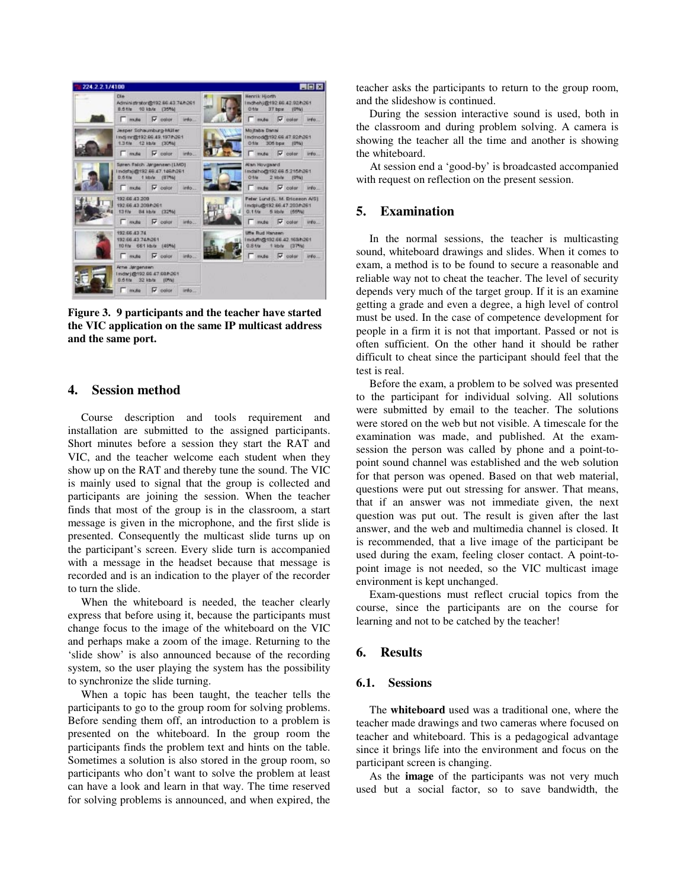<span id="page-3-0"></span>

**Figure 3. 9 participants and the teacher have started the VIC application on the same IP multicast address and the same port.** 

#### **4. Session method**

Course description and tools requirement and installation are submitted to the assigned participants. Short minutes before a session they start the RAT and VIC, and the teacher welcome each student when they show up on the RAT and thereby tune the sound. The VIC is mainly used to signal that the group is collected and participants are joining the session. When the teacher finds that most of the group is in the classroom, a start message is given in the microphone, and the first slide is presented. Consequently the multicast slide turns up on the participant's screen. Every slide turn is accompanied with a message in the headset because that message is recorded and is an indication to the player of the recorder to turn the slide.

When the whiteboard is needed, the teacher clearly express that before using it, because the participants must change focus to the image of the whiteboard on the VIC and perhaps make a zoom of the image. Returning to the 'slide show' is also announced because of the recording system, so the user playing the system has the possibility to synchronize the slide turning.

When a topic has been taught, the teacher tells the participants to go to the group room for solving problems. Before sending them off, an introduction to a problem is presented on the whiteboard. In the group room the participants finds the problem text and hints on the table. Sometimes a solution is also stored in the group room, so participants who don't want to solve the problem at least can have a look and learn in that way. The time reserved for solving problems is announced, and when expired, the

teacher asks the participants to return to the group room, and the slideshow is continued.

During the session interactive sound is used, both in the classroom and during problem solving. A camera is showing the teacher all the time and another is showing the whiteboard.

At session end a 'good-by' is broadcasted accompanied with request on reflection on the present session.

## **5. Examination**

In the normal sessions, the teacher is multicasting sound, whiteboard drawings and slides. When it comes to exam, a method is to be found to secure a reasonable and reliable way not to cheat the teacher. The level of security depends very much of the target group. If it is an examine getting a grade and even a degree, a high level of control must be used. In the case of competence development for people in a firm it is not that important. Passed or not is often sufficient. On the other hand it should be rather difficult to cheat since the participant should feel that the test is real.

Before the exam, a problem to be solved was presented to the participant for individual solving. All solutions were submitted by email to the teacher. The solutions were stored on the web but not visible. A timescale for the examination was made, and published. At the examsession the person was called by phone and a point-topoint sound channel was established and the web solution for that person was opened. Based on that web material, questions were put out stressing for answer. That means, that if an answer was not immediate given, the next question was put out. The result is given after the last answer, and the web and multimedia channel is closed. It is recommended, that a live image of the participant be used during the exam, feeling closer contact. A point-topoint image is not needed, so the VIC multicast image environment is kept unchanged.

Exam-questions must reflect crucial topics from the course, since the participants are on the course for learning and not to be catched by the teacher!

#### **6. Results**

#### **6.1. Sessions**

The **whiteboard** used was a traditional one, where the teacher made drawings and two cameras where focused on teacher and whiteboard. This is a pedagogical advantage since it brings life into the environment and focus on the participant screen is changing.

As the **image** of the participants was not very much used but a social factor, so to save bandwidth, the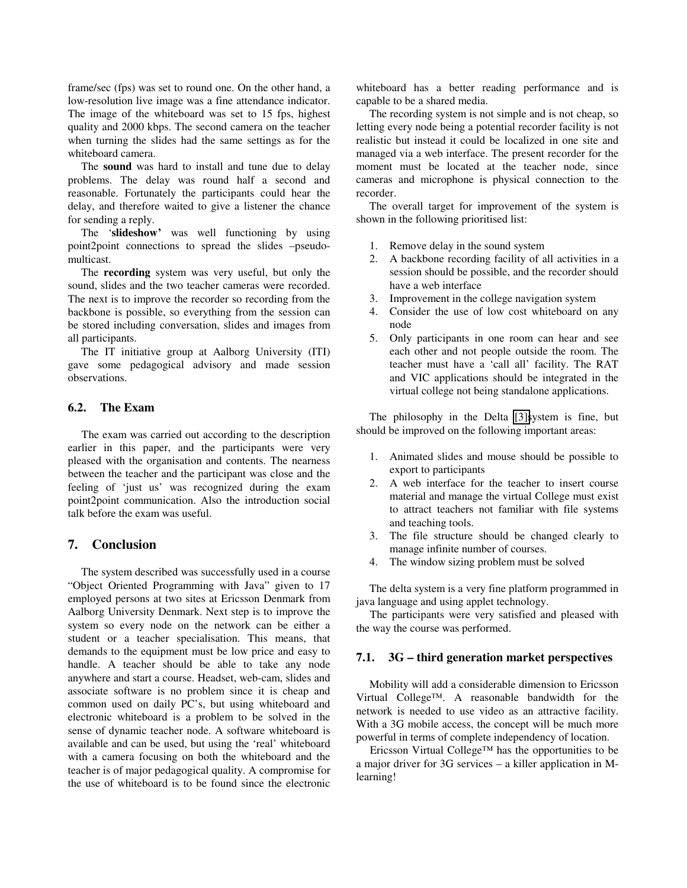frame/sec (fps) was set to round one. On the other hand, a low-resolution live image was a fine attendance indicator. The image of the whiteboard was set to 15 fps, highest quality and 2000 kbps. The second camera on the teacher when turning the slides had the same settings as for the whiteboard camera.

The **sound** was hard to install and tune due to delay problems. The delay was round half a second and reasonable. Fortunately the participants could hear the delay, and therefore waited to give a listener the chance for sending a reply.

The '**slideshow'** was well functioning by using point2point connections to spread the slides –pseudomulticast.

The **recording** system was very useful, but only the sound, slides and the two teacher cameras were recorded. The next is to improve the recorder so recording from the backbone is possible, so everything from the session can be stored including conversation, slides and images from all participants.

The IT initiative group at Aalborg University (ITI) gave some pedagogical advisory and made session observations.

#### **6.2. The Exam**

The exam was carried out according to the description earlier in this paper, and the participants were very pleased with the organisation and contents. The nearness between the teacher and the participant was close and the feeling of 'just us' was recognized during the exam point2point communication. Also the introduction social talk before the exam was useful.

#### **7. Conclusion**

The system described was successfully used in a course "Object Oriented Programming with Java" given to 17 employed persons at two sites at Ericsson Denmark from Aalborg University Denmark. Next step is to improve the system so every node on the network can be either a student or a teacher specialisation. This means, that demands to the equipment must be low price and easy to handle. A teacher should be able to take any node anywhere and start a course. Headset, web-cam, slides and associate software is no problem since it is cheap and common used on daily PC's, but using whiteboard and electronic whiteboard is a problem to be solved in the sense of dynamic teacher node. A software whiteboard is available and can be used, but using the 'real' whiteboard with a camera focusing on both the whiteboard and the teacher is of major pedagogical quality. A compromise for the use of whiteboard is to be found since the electronic

whiteboard has a better reading performance and is capable to be a shared media.

The recording system is not simple and is not cheap, so letting every node being a potential recorder facility is not realistic but instead it could be localized in one site and managed via a web interface. The present recorder for the moment must be located at the teacher node, since cameras and microphone is physical connection to the recorder.

The overall target for improvement of the system is shown in the following prioritised list:

- 1. Remove delay in the sound system
- 2. A backbone recording facility of all activities in a session should be possible, and the recorder should have a web interface
- 3. Improvement in the college navigation system
- 4. Consider the use of low cost whiteboard on any node
- 5. Only participants in one room can hear and see each other and not people outside the room. The teacher must have a 'call all' facility. The RAT and VIC applications should be integrated in the virtual college not being standalone applications.

The philosophy in the Delta [\[3\]s](#page-5-0)ystem is fine, but should be improved on the following important areas:

- 1. Animated slides and mouse should be possible to export to participants
- 2. A web interface for the teacher to insert course material and manage the virtual College must exist to attract teachers not familiar with file systems and teaching tools.
- 3. The file structure should be changed clearly to manage infinite number of courses.
- 4. The window sizing problem must be solved

The delta system is a very fine platform programmed in java language and using applet technology.

The participants were very satisfied and pleased with the way the course was performed.

#### **7.1. 3G – third generation market perspectives**

Mobility will add a considerable dimension to Ericsson Virtual College™. A reasonable bandwidth for the network is needed to use video as an attractive facility. With a 3G mobile access, the concept will be much more powerful in terms of complete independency of location.

Ericsson Virtual College™ has the opportunities to be a major driver for 3G services – a killer application in Mlearning!